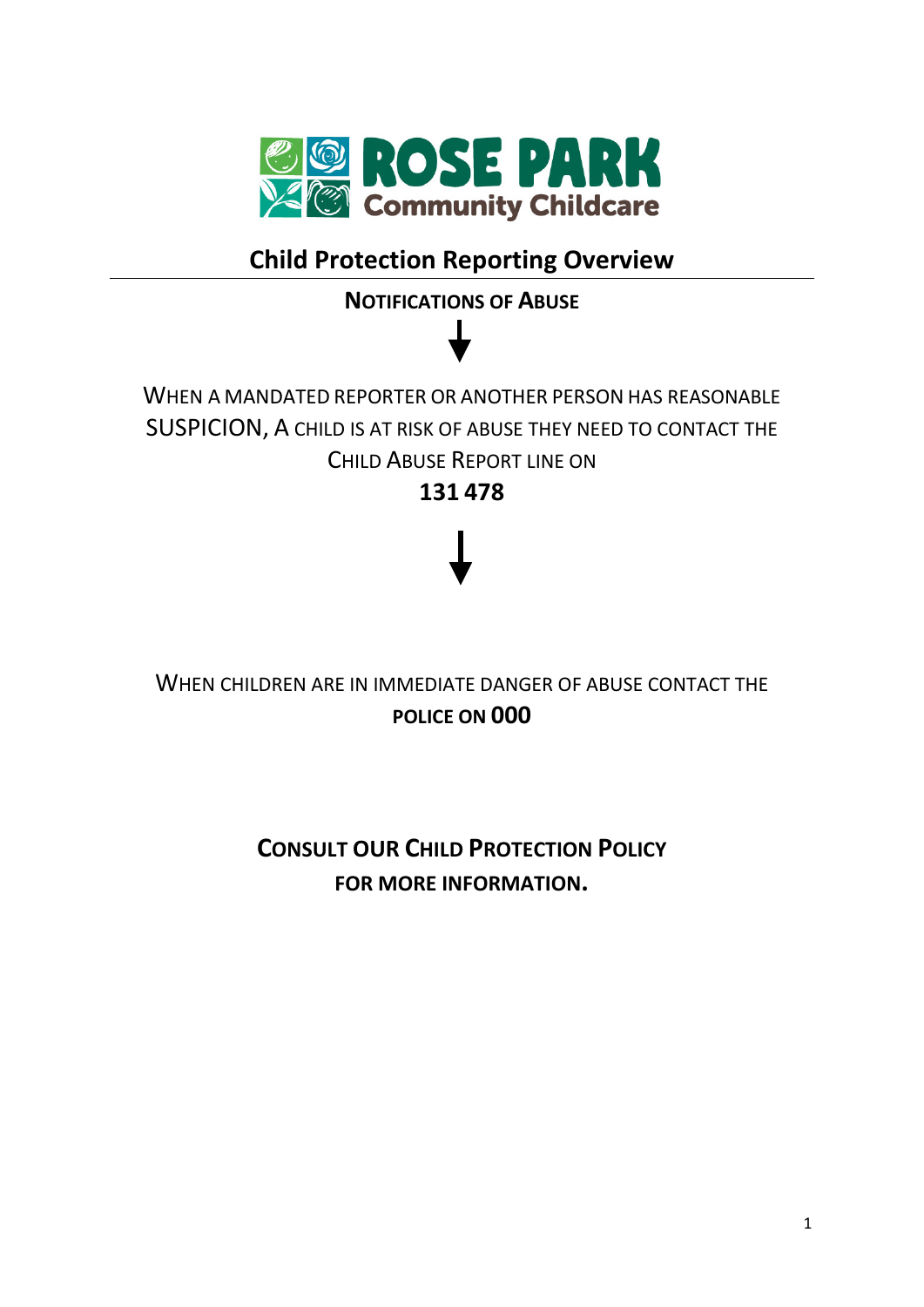

# **Child Protection Reporting Overview**

# **NOTIFICATIONS OF ABUSE**

# WHEN A MANDATED REPORTER OR ANOTHER PERSON HAS REASONABLE SUSPICION, A CHILD IS AT RISK OF ABUSE THEY NEED TO CONTACT THE CHILD ABUSE REPORT LINE ON **131 478**

# WHEN CHILDREN ARE IN IMMEDIATE DANGER OF ABUSE CONTACT THE **POLICE ON 000**

# **CONSULT OUR CHILD PROTECTION POLICY FOR MORE INFORMATION.**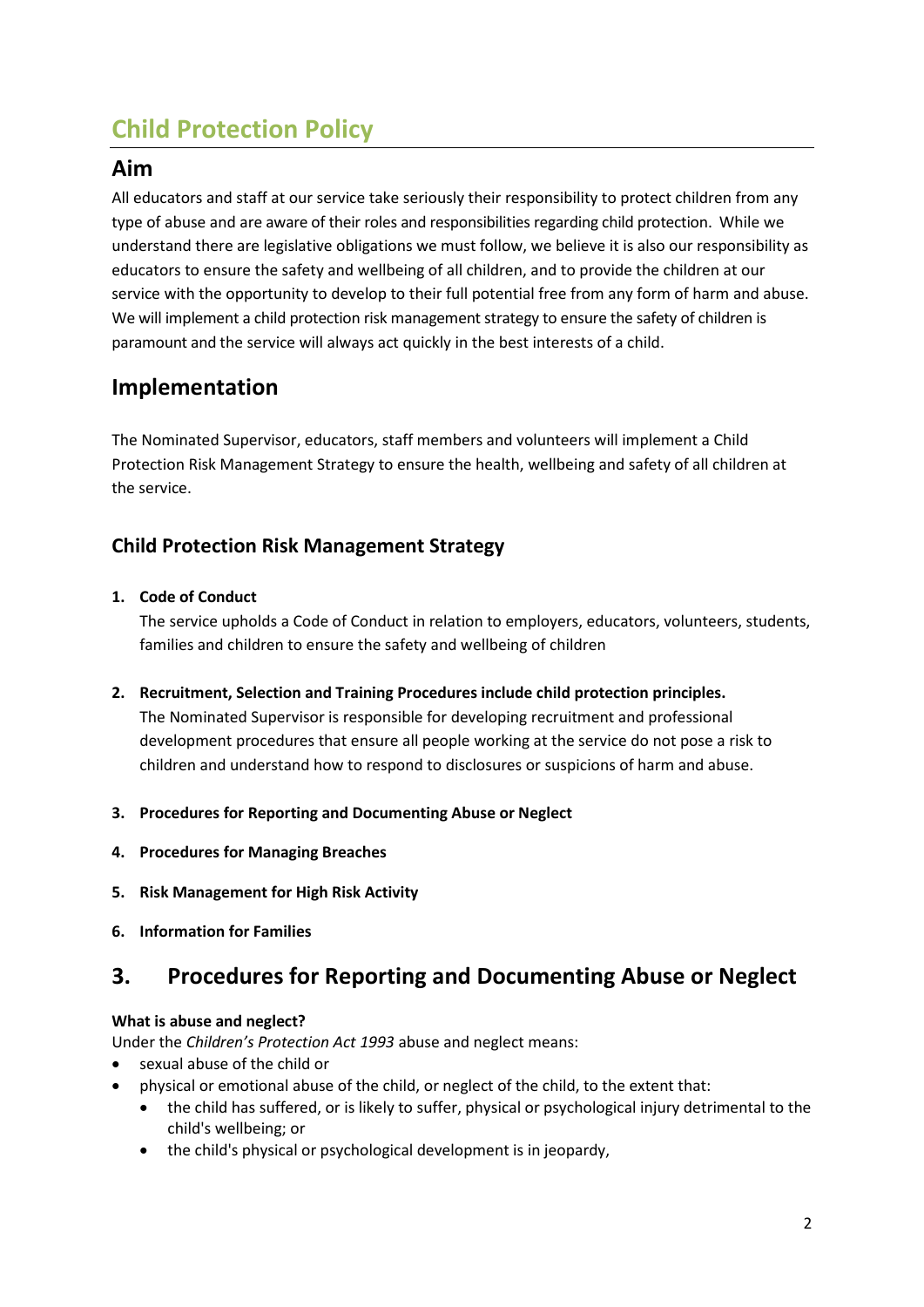# **Child Protection Policy**

### **Aim**

All educators and staff at our service take seriously their responsibility to protect children from any type of abuse and are aware of their roles and responsibilities regarding child protection. While we understand there are legislative obligations we must follow, we believe it is also our responsibility as educators to ensure the safety and wellbeing of all children, and to provide the children at our service with the opportunity to develop to their full potential free from any form of harm and abuse. We will implement a child protection risk management strategy to ensure the safety of children is paramount and the service will always act quickly in the best interests of a child.

# **Implementation**

The Nominated Supervisor, educators, staff members and volunteers will implement a Child Protection Risk Management Strategy to ensure the health, wellbeing and safety of all children at the service.

### **Child Protection Risk Management Strategy**

#### **1. Code of Conduct**

The service upholds a Code of Conduct in relation to employers, educators, volunteers, students, families and children to ensure the safety and wellbeing of children

- **2. Recruitment, Selection and Training Procedures include child protection principles.** The Nominated Supervisor is responsible for developing recruitment and professional development procedures that ensure all people working at the service do not pose a risk to children and understand how to respond to disclosures or suspicions of harm and abuse.
- **3. Procedures for Reporting and Documenting Abuse or Neglect**
- **4. Procedures for Managing Breaches**
- **5. Risk Management for High Risk Activity**
- **6. Information for Families**

## **3. Procedures for Reporting and Documenting Abuse or Neglect**

#### **What is abuse and neglect?**

Under the *Children's Protection Act 1993* abuse and neglect means:

- sexual abuse of the child or
- physical or emotional abuse of the child, or neglect of the child, to the extent that:
	- the child has suffered, or is likely to suffer, physical or psychological injury detrimental to the child's wellbeing; or
	- the child's physical or psychological development is in jeopardy,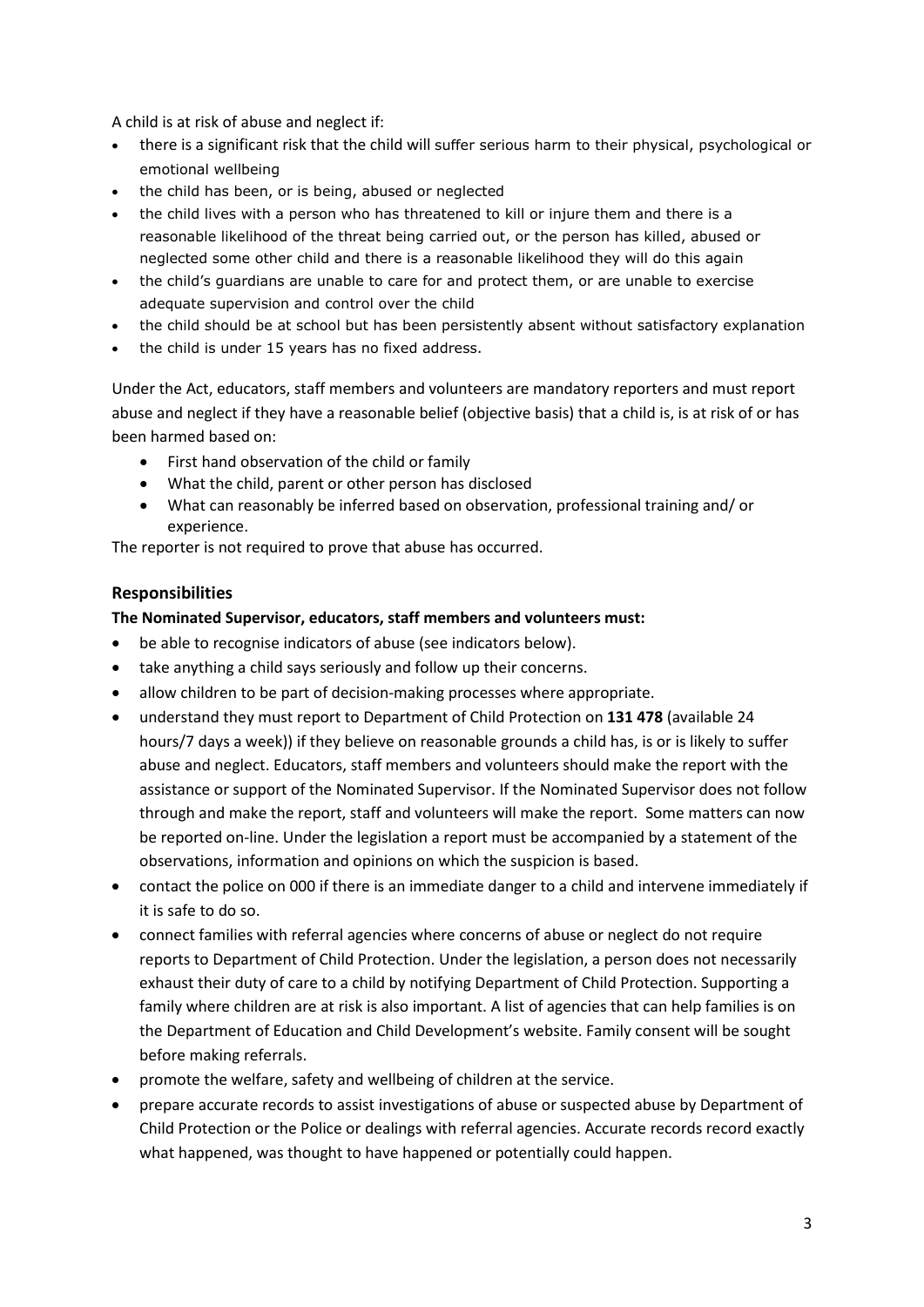A child is at risk of abuse and neglect if:

- there is a significant risk that the child will suffer serious harm to their physical, psychological or emotional wellbeing
- the child has been, or is being, abused or neglected
- the child lives with a person who has threatened to kill or injure them and there is a reasonable likelihood of the threat being carried out, or the person has killed, abused or neglected some other child and there is a reasonable likelihood they will do this again
- the child's guardians are unable to care for and protect them, or are unable to exercise adequate supervision and control over the child
- the child should be at school but has been persistently absent without satisfactory explanation
- the child is under 15 years has no fixed address.

Under the Act, educators, staff members and volunteers are mandatory reporters and must report abuse and neglect if they have a reasonable belief (objective basis) that a child is, is at risk of or has been harmed based on:

- First hand observation of the child or family
- What the child, parent or other person has disclosed
- What can reasonably be inferred based on observation, professional training and/ or experience.

The reporter is not required to prove that abuse has occurred.

#### **Responsibilities**

#### **The Nominated Supervisor, educators, staff members and volunteers must:**

- be able to recognise indicators of abuse (see indicators below).
- take anything a child says seriously and follow up their concerns.
- allow children to be part of decision-making processes where appropriate.
- understand they must report to Department of Child Protection on **131 478** (available 24 hours/7 days a week)) if they believe on reasonable grounds a child has, is or is likely to suffer abuse and neglect. Educators, staff members and volunteers should make the report with the assistance or support of the Nominated Supervisor. If the Nominated Supervisor does not follow through and make the report, staff and volunteers will make the report. Some matters can now be reported on-line. Under the legislation a report must be accompanied by a statement of the observations, information and opinions on which the suspicion is based.
- contact the police on 000 if there is an immediate danger to a child and intervene immediately if it is safe to do so.
- connect families with referral agencies where concerns of abuse or neglect do not require reports to Department of Child Protection. Under the legislation, a person does not necessarily exhaust their duty of care to a child by notifying Department of Child Protection. Supporting a family where children are at risk is also important. A list of agencies that can help families is on the Department of Education and Child Development's website. Family consent will be sought before making referrals.
- promote the welfare, safety and wellbeing of children at the service.
- prepare accurate records to assist investigations of abuse or suspected abuse by Department of Child Protection or the Police or dealings with referral agencies. Accurate records record exactly what happened, was thought to have happened or potentially could happen.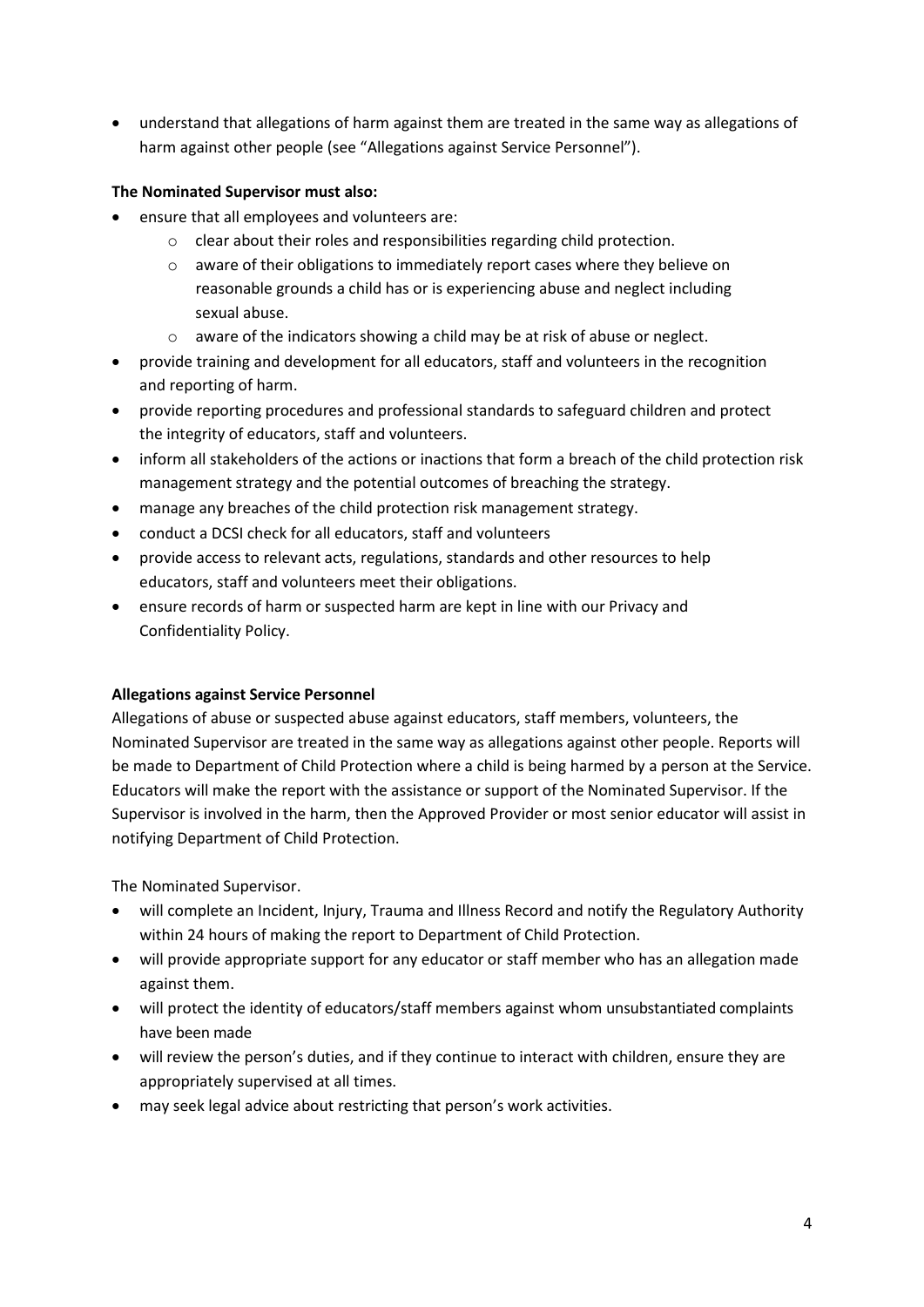• understand that allegations of harm against them are treated in the same way as allegations of harm against other people (see "Allegations against Service Personnel").

#### **The Nominated Supervisor must also:**

- ensure that all employees and volunteers are:
	- o clear about their roles and responsibilities regarding child protection.
	- o aware of their obligations to immediately report cases where they believe on reasonable grounds a child has or is experiencing abuse and neglect including sexual abuse.
	- o aware of the indicators showing a child may be at risk of abuse or neglect.
- provide training and development for all educators, staff and volunteers in the recognition and reporting of harm.
- provide reporting procedures and professional standards to safeguard children and protect the integrity of educators, staff and volunteers.
- inform all stakeholders of the actions or inactions that form a breach of the child protection risk management strategy and the potential outcomes of breaching the strategy.
- manage any breaches of the child protection risk management strategy.
- conduct a DCSI check for all educators, staff and volunteers
- provide access to relevant acts, regulations, standards and other resources to help educators, staff and volunteers meet their obligations.
- ensure records of harm or suspected harm are kept in line with our Privacy and Confidentiality Policy.

#### **Allegations against Service Personnel**

Allegations of abuse or suspected abuse against educators, staff members, volunteers, the Nominated Supervisor are treated in the same way as allegations against other people. Reports will be made to Department of Child Protection where a child is being harmed by a person at the Service. Educators will make the report with the assistance or support of the Nominated Supervisor. If the Supervisor is involved in the harm, then the Approved Provider or most senior educator will assist in notifying Department of Child Protection.

The Nominated Supervisor.

- will complete an Incident, Injury, Trauma and Illness Record and notify the Regulatory Authority within 24 hours of making the report to Department of Child Protection.
- will provide appropriate support for any educator or staff member who has an allegation made against them.
- will protect the identity of educators/staff members against whom unsubstantiated complaints have been made
- will review the person's duties, and if they continue to interact with children, ensure they are appropriately supervised at all times.
- may seek legal advice about restricting that person's work activities.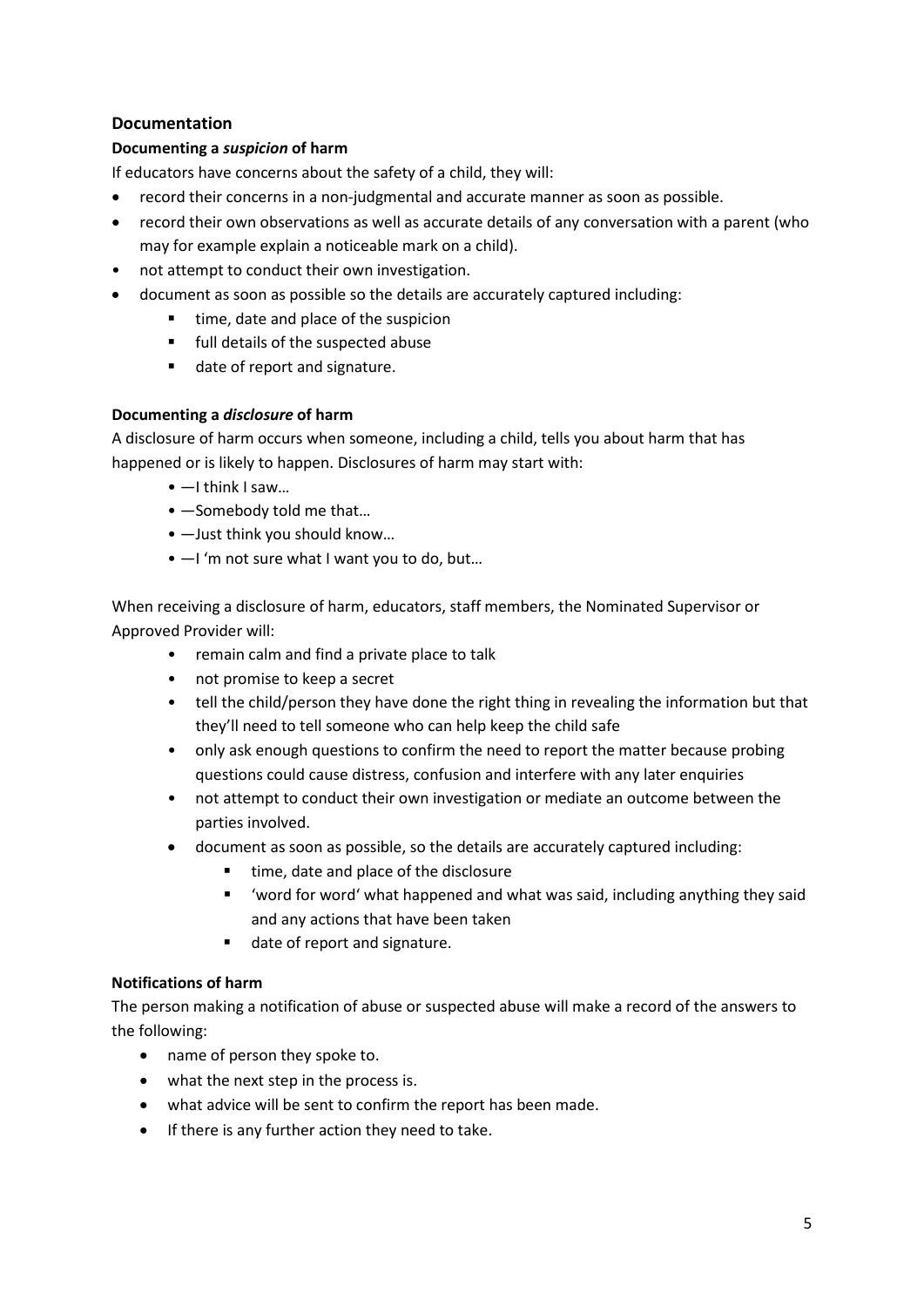#### **Documentation**

#### **Documenting a** *suspicion* **of harm**

If educators have concerns about the safety of a child, they will:

- record their concerns in a non-judgmental and accurate manner as soon as possible.
- record their own observations as well as accurate details of any conversation with a parent (who may for example explain a noticeable mark on a child).
- not attempt to conduct their own investigation.
- document as soon as possible so the details are accurately captured including:
	- time, date and place of the suspicion
	- **Fig.** full details of the suspected abuse
	- date of report and signature.

#### **Documenting a** *disclosure* **of harm**

A disclosure of harm occurs when someone, including a child, tells you about harm that has happened or is likely to happen. Disclosures of harm may start with:

- $\bullet$   $-$ I think I saw...
- ―Somebody told me that…
- ―Just think you should know…
- $-1$  'm not sure what I want you to do, but...

When receiving a disclosure of harm, educators, staff members, the Nominated Supervisor or Approved Provider will:

- remain calm and find a private place to talk
- not promise to keep a secret
- tell the child/person they have done the right thing in revealing the information but that they'll need to tell someone who can help keep the child safe
- only ask enough questions to confirm the need to report the matter because probing questions could cause distress, confusion and interfere with any later enquiries
- not attempt to conduct their own investigation or mediate an outcome between the parties involved.
- document as soon as possible, so the details are accurately captured including:
	- time, date and place of the disclosure
	- 'word for word' what happened and what was said, including anything they said and any actions that have been taken
	- date of report and signature.

#### **Notifications of harm**

The person making a notification of abuse or suspected abuse will make a record of the answers to the following:

- name of person they spoke to.
- what the next step in the process is.
- what advice will be sent to confirm the report has been made.
- If there is any further action they need to take.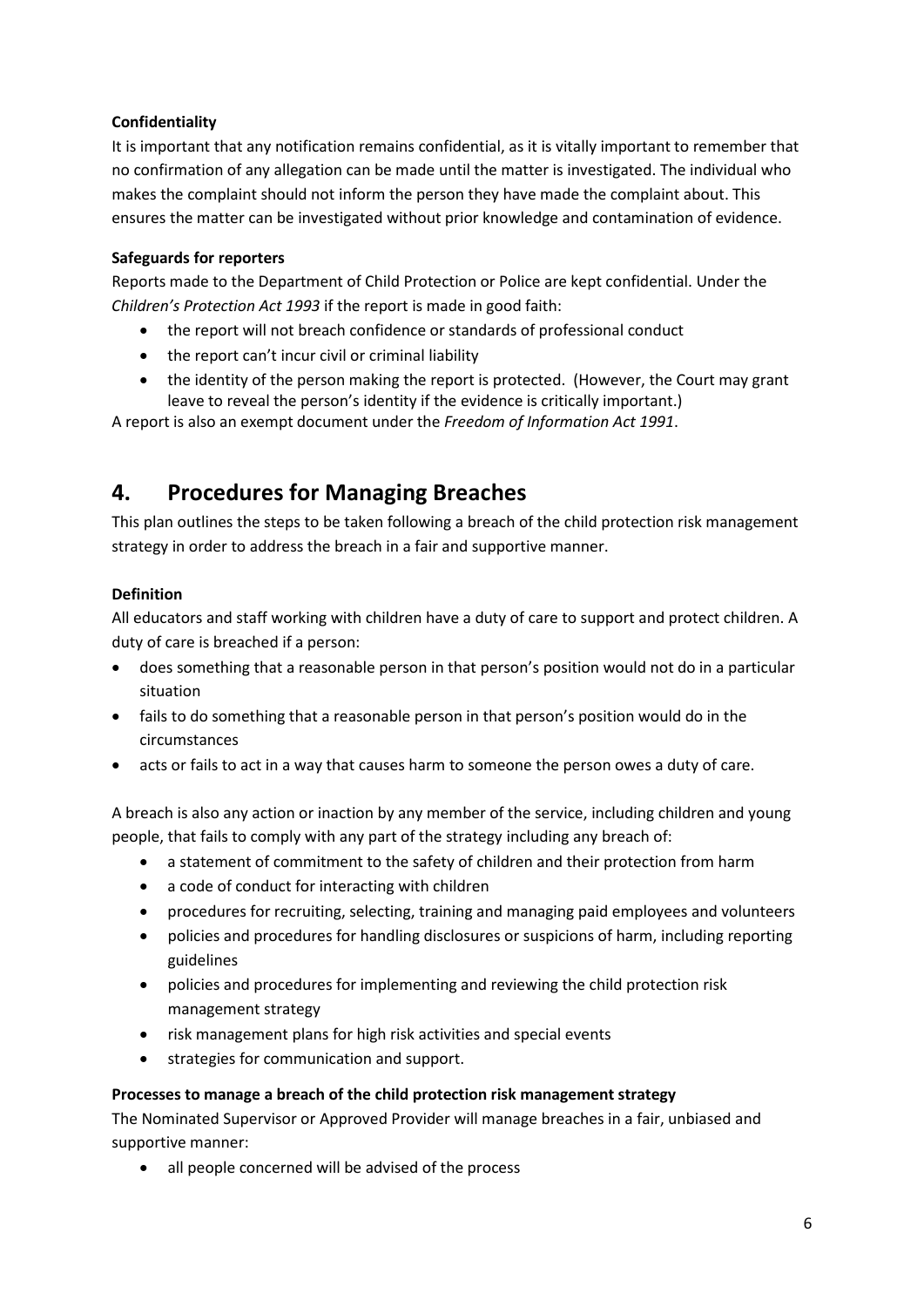#### **Confidentiality**

It is important that any notification remains confidential, as it is vitally important to remember that no confirmation of any allegation can be made until the matter is investigated. The individual who makes the complaint should not inform the person they have made the complaint about. This ensures the matter can be investigated without prior knowledge and contamination of evidence.

#### **Safeguards for reporters**

Reports made to the Department of Child Protection or Police are kept confidential. Under the *Children's Protection Act 1993* if the report is made in good faith:

- the report will not breach confidence or standards of professional conduct
- the report can't incur civil or criminal liability
- the identity of the person making the report is protected. (However, the Court may grant leave to reveal the person's identity if the evidence is critically important.)

A report is also an exempt document under the *Freedom of Information Act 1991*.

### **4. Procedures for Managing Breaches**

This plan outlines the steps to be taken following a breach of the child protection risk management strategy in order to address the breach in a fair and supportive manner.

#### **Definition**

All educators and staff working with children have a duty of care to support and protect children. A duty of care is breached if a person:

- does something that a reasonable person in that person's position would not do in a particular situation
- fails to do something that a reasonable person in that person's position would do in the circumstances
- acts or fails to act in a way that causes harm to someone the person owes a duty of care.

A breach is also any action or inaction by any member of the service, including children and young people, that fails to comply with any part of the strategy including any breach of:

- a statement of commitment to the safety of children and their protection from harm
- a code of conduct for interacting with children
- procedures for recruiting, selecting, training and managing paid employees and volunteers
- policies and procedures for handling disclosures or suspicions of harm, including reporting guidelines
- policies and procedures for implementing and reviewing the child protection risk management strategy
- risk management plans for high risk activities and special events
- strategies for communication and support.

#### **Processes to manage a breach of the child protection risk management strategy**

The Nominated Supervisor or Approved Provider will manage breaches in a fair, unbiased and supportive manner:

• all people concerned will be advised of the process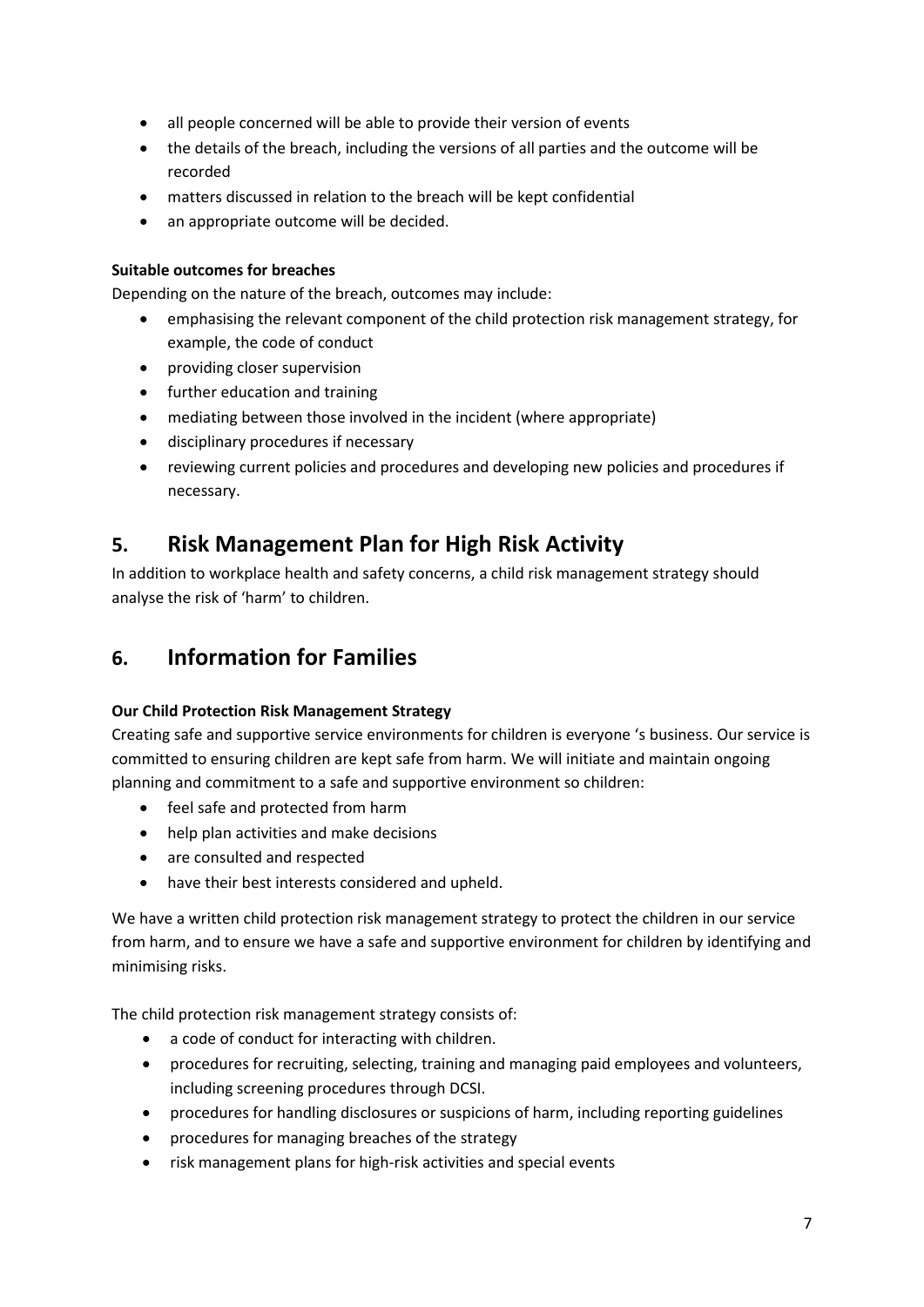- all people concerned will be able to provide their version of events
- the details of the breach, including the versions of all parties and the outcome will be recorded
- matters discussed in relation to the breach will be kept confidential
- an appropriate outcome will be decided.

#### **Suitable outcomes for breaches**

Depending on the nature of the breach, outcomes may include:

- emphasising the relevant component of the child protection risk management strategy, for example, the code of conduct
- providing closer supervision
- further education and training
- mediating between those involved in the incident (where appropriate)
- disciplinary procedures if necessary
- reviewing current policies and procedures and developing new policies and procedures if necessary.

### **5. Risk Management Plan for High Risk Activity**

In addition to workplace health and safety concerns, a child risk management strategy should analyse the risk of 'harm' to children.

### **6. Information for Families**

#### **Our Child Protection Risk Management Strategy**

Creating safe and supportive service environments for children is everyone 's business. Our service is committed to ensuring children are kept safe from harm. We will initiate and maintain ongoing planning and commitment to a safe and supportive environment so children:

- feel safe and protected from harm
- help plan activities and make decisions
- are consulted and respected
- have their best interests considered and upheld.

We have a written child protection risk management strategy to protect the children in our service from harm, and to ensure we have a safe and supportive environment for children by identifying and minimising risks.

The child protection risk management strategy consists of:

- a code of conduct for interacting with children.
- procedures for recruiting, selecting, training and managing paid employees and volunteers, including screening procedures through DCSI.
- procedures for handling disclosures or suspicions of harm, including reporting guidelines
- procedures for managing breaches of the strategy
- risk management plans for high-risk activities and special events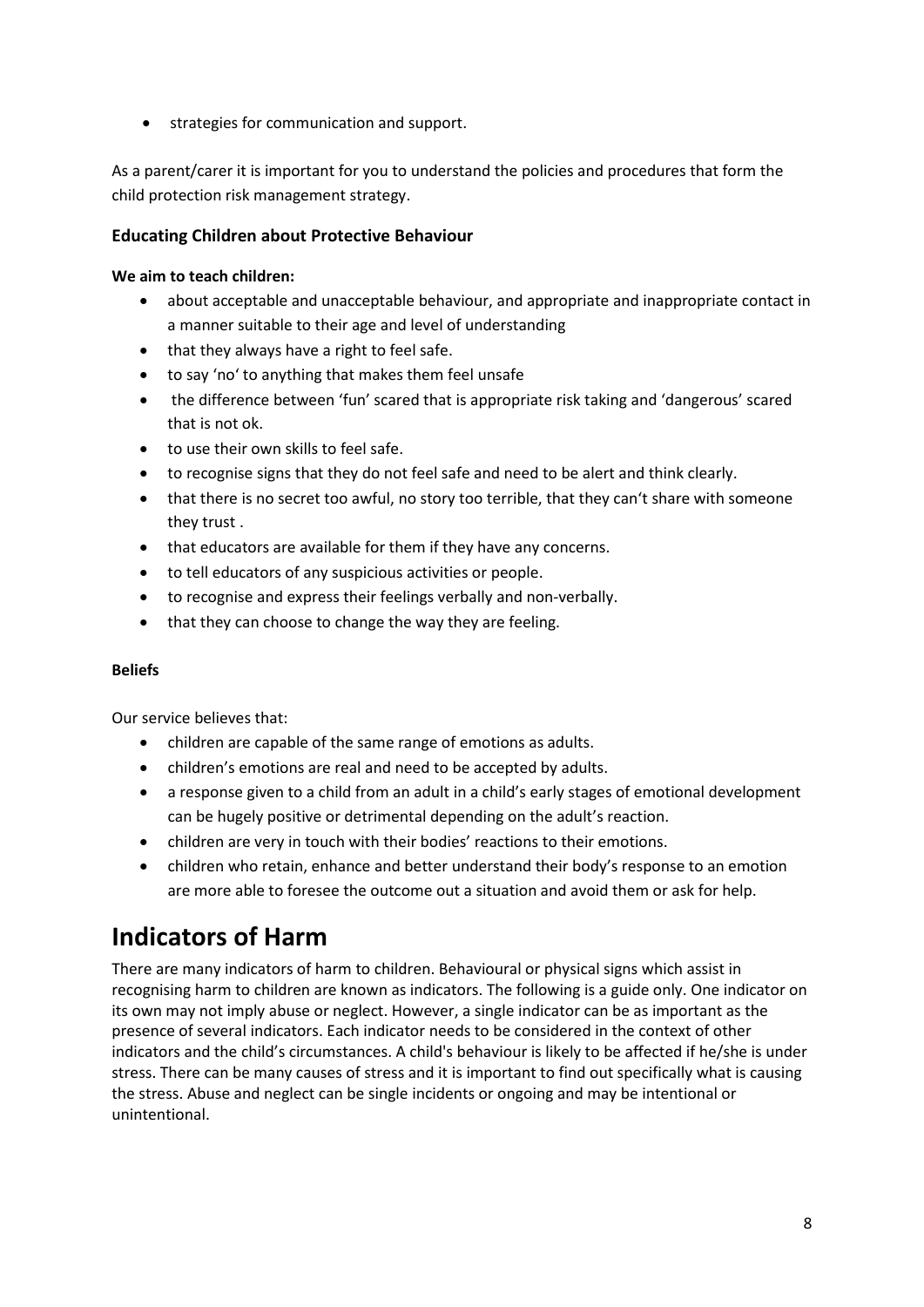• strategies for communication and support.

As a parent/carer it is important for you to understand the policies and procedures that form the child protection risk management strategy.

#### **Educating Children about Protective Behaviour**

#### **We aim to teach children:**

- about acceptable and unacceptable behaviour, and appropriate and inappropriate contact in a manner suitable to their age and level of understanding
- that they always have a right to feel safe.
- to say 'no' to anything that makes them feel unsafe
- the difference between 'fun' scared that is appropriate risk taking and 'dangerous' scared that is not ok.
- to use their own skills to feel safe.
- to recognise signs that they do not feel safe and need to be alert and think clearly.
- that there is no secret too awful, no story too terrible, that they can't share with someone they trust .
- that educators are available for them if they have any concerns.
- to tell educators of any suspicious activities or people.
- to recognise and express their feelings verbally and non-verbally.
- that they can choose to change the way they are feeling.

#### **Beliefs**

Our service believes that:

- children are capable of the same range of emotions as adults.
- children's emotions are real and need to be accepted by adults.
- a response given to a child from an adult in a child's early stages of emotional development can be hugely positive or detrimental depending on the adult's reaction.
- children are very in touch with their bodies' reactions to their emotions.
- children who retain, enhance and better understand their body's response to an emotion are more able to foresee the outcome out a situation and avoid them or ask for help.

# **Indicators of Harm**

There are many indicators of harm to children. Behavioural or physical signs which assist in recognising harm to children are known as indicators. The following is a guide only. One indicator on its own may not imply abuse or neglect. However, a single indicator can be as important as the presence of several indicators. Each indicator needs to be considered in the context of other indicators and the child's circumstances. A child's behaviour is likely to be affected if he/she is under stress. There can be many causes of stress and it is important to find out specifically what is causing the stress. Abuse and neglect can be single incidents or ongoing and may be intentional or unintentional.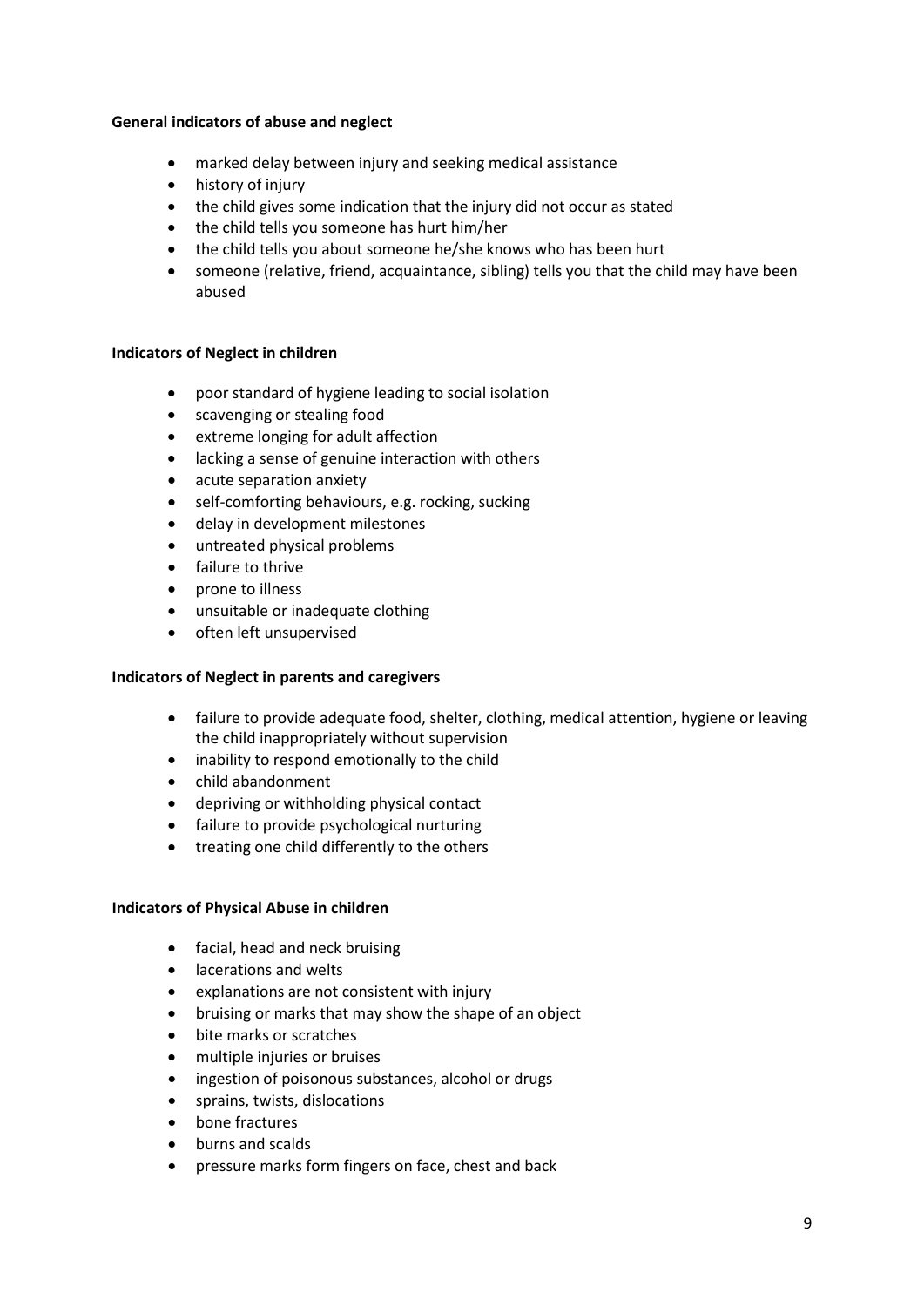#### **General indicators of abuse and neglect**

- marked delay between injury and seeking medical assistance
- history of injury
- the child gives some indication that the injury did not occur as stated
- the child tells you someone has hurt him/her
- the child tells you about someone he/she knows who has been hurt
- someone (relative, friend, acquaintance, sibling) tells you that the child may have been abused

#### **Indicators of Neglect in children**

- poor standard of hygiene leading to social isolation
- scavenging or stealing food
- extreme longing for adult affection
- lacking a sense of genuine interaction with others
- acute separation anxiety
- self-comforting behaviours, e.g. rocking, sucking
- delay in development milestones
- untreated physical problems
- failure to thrive
- prone to illness
- unsuitable or inadequate clothing
- often left unsupervised

#### **Indicators of Neglect in parents and caregivers**

- failure to provide adequate food, shelter, clothing, medical attention, hygiene or leaving the child inappropriately without supervision
- inability to respond emotionally to the child
- child abandonment
- depriving or withholding physical contact
- failure to provide psychological nurturing
- treating one child differently to the others

#### **Indicators of Physical Abuse in children**

- facial, head and neck bruising
- lacerations and welts
- explanations are not consistent with injury
- bruising or marks that may show the shape of an object
- bite marks or scratches
- multiple injuries or bruises
- ingestion of poisonous substances, alcohol or drugs
- sprains, twists, dislocations
- bone fractures
- burns and scalds
- pressure marks form fingers on face, chest and back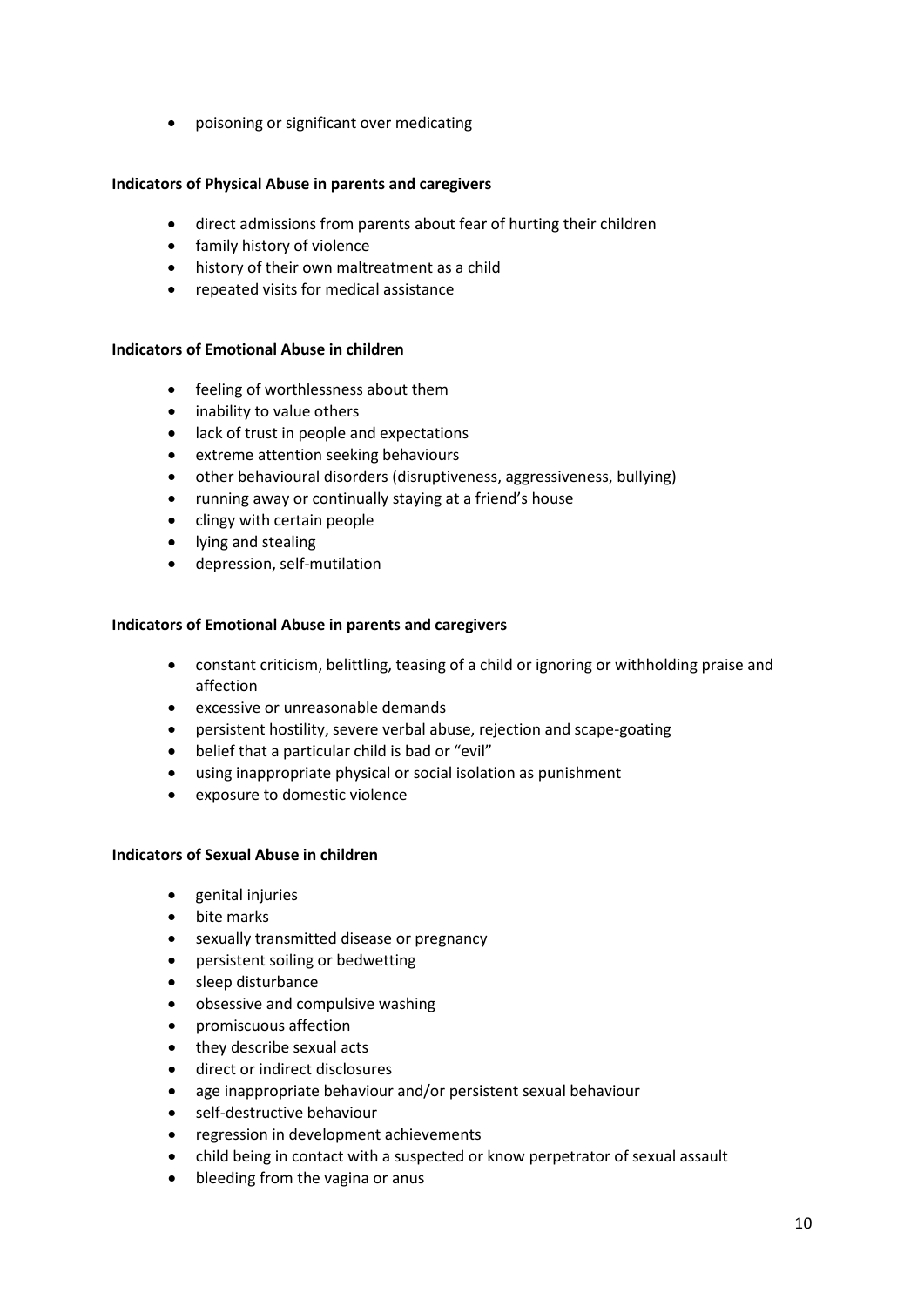• poisoning or significant over medicating

#### **Indicators of Physical Abuse in parents and caregivers**

- direct admissions from parents about fear of hurting their children
- family history of violence
- history of their own maltreatment as a child
- repeated visits for medical assistance

#### **Indicators of Emotional Abuse in children**

- feeling of worthlessness about them
- inability to value others
- lack of trust in people and expectations
- extreme attention seeking behaviours
- other behavioural disorders (disruptiveness, aggressiveness, bullying)
- running away or continually staying at a friend's house
- clingy with certain people
- lying and stealing
- depression, self-mutilation

#### **Indicators of Emotional Abuse in parents and caregivers**

- constant criticism, belittling, teasing of a child or ignoring or withholding praise and affection
- excessive or unreasonable demands
- persistent hostility, severe verbal abuse, rejection and scape-goating
- belief that a particular child is bad or "evil"
- using inappropriate physical or social isolation as punishment
- exposure to domestic violence

#### **Indicators of Sexual Abuse in children**

- genital injuries
- bite marks
- sexually transmitted disease or pregnancy
- persistent soiling or bedwetting
- sleep disturbance
- obsessive and compulsive washing
- promiscuous affection
- they describe sexual acts
- direct or indirect disclosures
- age inappropriate behaviour and/or persistent sexual behaviour
- self-destructive behaviour
- regression in development achievements
- child being in contact with a suspected or know perpetrator of sexual assault
- bleeding from the vagina or anus